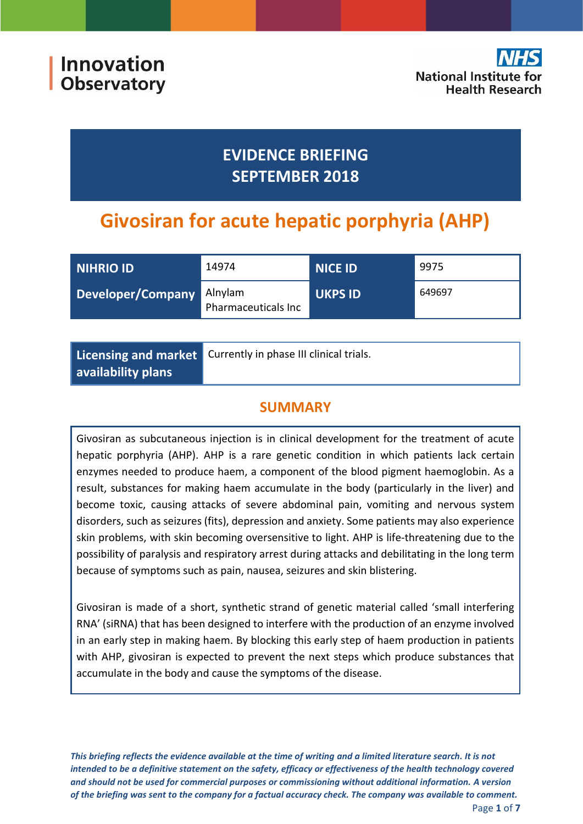

## **EVIDENCE BRIEFING SEPTEMBER 2018**

# **Givosiran for acute hepatic porphyria (AHP)**

| NIHRIO ID         | 14974                          | <b>NICE ID</b> | 9975   |
|-------------------|--------------------------------|----------------|--------|
| Developer/Company | Alnylam<br>Pharmaceuticals Inc | <b>UKPS ID</b> | 649697 |

|                    | Licensing and market Currently in phase III clinical trials. |  |
|--------------------|--------------------------------------------------------------|--|
| availability plans |                                                              |  |

## **SUMMARY**

Givosiran as subcutaneous injection is in clinical development for the treatment of acute hepatic porphyria (AHP). AHP is a rare genetic condition in which patients lack certain enzymes needed to produce haem, a component of the blood pigment haemoglobin. As a result, substances for making haem accumulate in the body (particularly in the liver) and become toxic, causing attacks of severe abdominal pain, vomiting and nervous system disorders, such as seizures (fits), depression and anxiety. Some patients may also experience skin problems, with skin becoming oversensitive to light. AHP is life-threatening due to the possibility of paralysis and respiratory arrest during attacks and debilitating in the long term because of symptoms such as pain, nausea, seizures and skin blistering.

Givosiran is made of a short, synthetic strand of genetic material called 'small interfering RNA' (siRNA) that has been designed to interfere with the production of an enzyme involved in an early step in making haem. By blocking this early step of haem production in patients with AHP, givosiran is expected to prevent the next steps which produce substances that accumulate in the body and cause the symptoms of the disease.

*This briefing reflects the evidence available at the time of writing and a limited literature search. It is not intended to be a definitive statement on the safety, efficacy or effectiveness of the health technology covered and should not be used for commercial purposes or commissioning without additional information. A version of the briefing was sent to the company for a factual accuracy check. The company was available to comment.*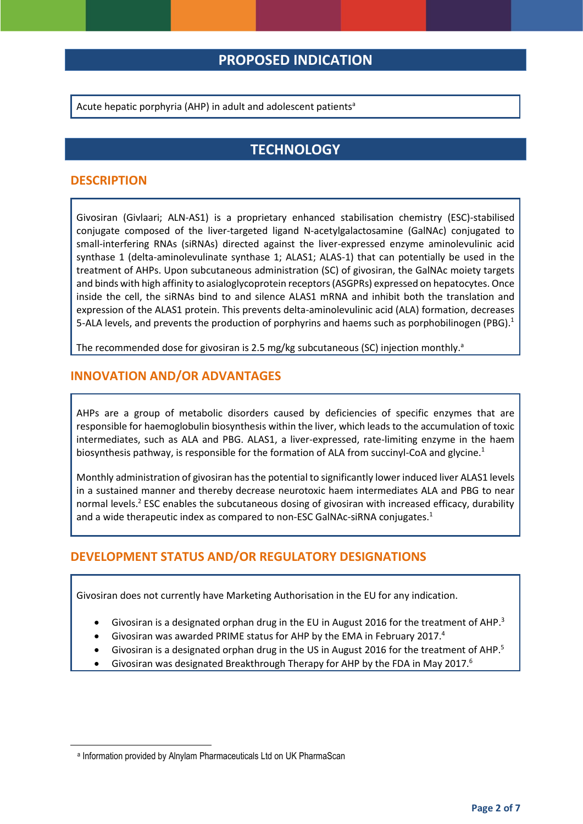### **PROPOSED INDICATION**

Acute hepatic porphyria (AHP) in adult and adolescent patients<sup>a</sup>

### <span id="page-1-0"></span>**TECHNOLOGY**

#### **DESCRIPTION**

Givosiran (Givlaari; ALN-AS1) is a proprietary enhanced stabilisation chemistry (ESC)-stabilised conjugate composed of the liver-targeted ligand N-acetylgalactosamine (GalNAc) conjugated to small-interfering RNAs (siRNAs) directed against the liver-expressed enzyme aminolevulinic acid synthase 1 (delta-aminolevulinate synthase 1; ALAS1; ALAS-1) that can potentially be used in the treatment of AHPs. Upon subcutaneous administration (SC) of givosiran, the GalNAc moiety targets and binds with high affinity to asialoglycoprotein receptors (ASGPRs) expressed on hepatocytes. Once inside the cell, the siRNAs bind to and silence ALAS1 mRNA and inhibit both the translation and expression of the ALAS1 protein. This prevents delta-aminolevulinic acid (ALA) formation, decreases 5-ALA levels, and prevents the production of porphyrins and haems such as porphobilinogen (PBG).<sup>1</sup>

The recommended dose for givosiran is 2.5 mg/kg subcutaneous (SC) injection monthly.<sup>a</sup>

#### **INNOVATION AND/OR ADVANTAGES**

AHPs are a group of metabolic disorders caused by deficiencies of specific enzymes that are responsible for haemoglobulin biosynthesis within the liver, which leads to the accumulation of toxic intermediates, such as ALA and PBG. ALAS1, a liver-expressed, rate-limiting enzyme in the haem biosynthesis pathway, is responsible for the formation of ALA from succinyl-CoA and glycine[.](#page-1-0)<sup>1</sup>

Monthly administration of givosiran has the potential to significantly lower induced liver ALAS1 levels in a sustained manner and thereby decrease neurotoxic haem intermediates ALA and PBG to near normal levels.<sup>2</sup> ESC enables the subcutaneous dosing of givosiran with increased efficacy, durability and a wide therapeutic index as compared to non-ESC GalNAc-siRNA conjugates[.](#page-1-0)<sup>1</sup>

#### **DEVELOPMENT STATUS AND/OR REGULATORY DESIGNATIONS**

Givosiran does not currently have Marketing Authorisation in the EU for any indication.

- <span id="page-1-1"></span> $\bullet$  Givosiran is a designated orphan drug in the EU in August 2016 for the treatment of AHP.<sup>3</sup>
- Givosiran was awarded PRIME status for AHP by the EMA in February 2017.4
- Givosiran is a designated orphan drug in the US in August 2016 for the treatment of AHP.<sup>5</sup>
- Givosiran was designated Breakthrough Therapy for AHP by the FDA in May 2017.<sup>6</sup>

**.** 

a Information provided by Alnylam Pharmaceuticals Ltd on UK PharmaScan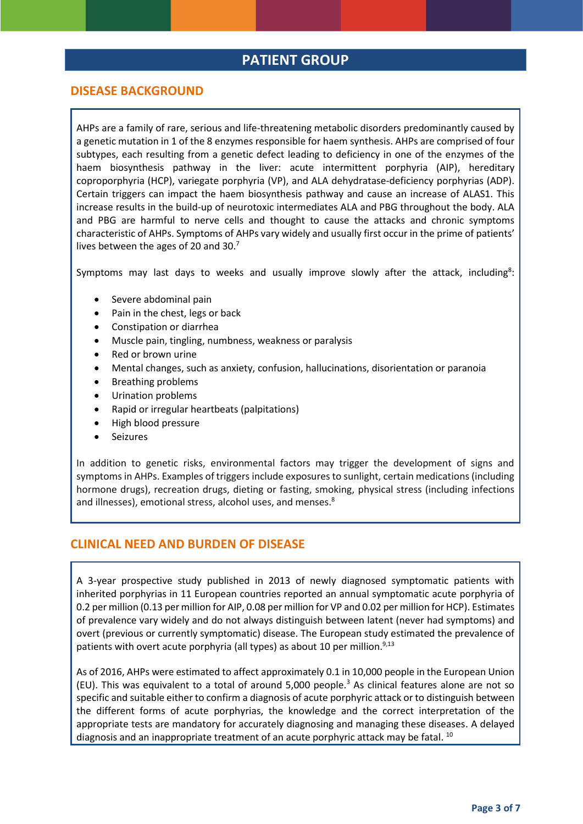#### **PATIENT GROUP**

#### **DISEASE BACKGROUND**

AHPs are a family of rare, serious and life-threatening metabolic disorders predominantly caused by a genetic mutation in 1 of the 8 enzymes responsible for haem synthesis. AHPs are comprised of four subtypes, each resulting from a genetic defect leading to deficiency in one of the enzymes of the haem biosynthesis pathway in the liver: acute intermittent porphyria (AIP), hereditary coproporphyria (HCP), variegate porphyria (VP), and ALA dehydratase-deficiency porphyrias (ADP). Certain triggers can impact the haem biosynthesis pathway and cause an increase of ALAS1. This increase results in the build-up of neurotoxic intermediates ALA and PBG throughout the body. ALA and PBG are harmful to nerve cells and thought to cause the attacks and chronic symptoms characteristic of AHPs. Symptoms of AHPs vary widely and usually first occur in the prime of patients' lives between the ages of 20 and 30.<sup>7</sup>

Symptoms may last days to weeks and usually improve slowly after the attack, including<sup>8</sup>[:](#page-2-0)

- <span id="page-2-1"></span>Severe abdominal pain
- Pain in the chest, legs or back
- Constipation or diarrhea
- Muscle pain, tingling, numbness, weakness or paralysis
- Red or brown urine
- Mental changes, such as anxiety, confusion, hallucinations, disorientation or paranoia
- Breathing problems
- Urination problems
- Rapid or irregular heartbeats (palpitations)
- High blood pressure
- <span id="page-2-0"></span>Seizures

In addition to genetic risks, environmental factors may trigger the development of signs and symptoms in AHPs. Examples of triggers include exposures to sunlight, certain medications (including hormone drugs), recreation drugs, dieting or fasting, smoking, physical stress (including infections and illnesses), emotional stress, alcohol uses, and menses.<sup>8</sup>

#### **CLINICAL NEED AND BURDEN OF DISEASE**

A 3-year prospective study published in 2013 of newly diagnosed symptomatic patients with inherited porphyrias in 11 European countries reported an annual symptomatic acute porphyria of 0.2 per million (0.13 per million for AIP, 0.08 per million for VP and 0.02 per million for HCP). Estimates of prevalence vary widely and do not always distinguish between latent (never had symptoms) and overt (previous or currently symptomatic) disease. The European study estimated the prevalence of patients with overt acute porphyria (all types) as about 10 per million.<sup>[9,13](#page-3-0)</sup>

As of 2016, AHPs were estimated to affect approximately 0.1 in 10,000 people in the European Union (EU). This was equivalent to a total of around  $5,000$  people.<sup>[3](#page-1-1)</sup> As clinical features alone are not so specific and suitable either to confirm a diagnosis of acute porphyric attack or to distinguish between the different forms of acute porphyrias, the knowledge and the correct interpretation of the appropriate tests are mandatory for accurately diagnosing and managing these diseases. A delayed diagnosis and an inappropriate treatment of an acute porphyric attack may be fatal. <sup>10</sup>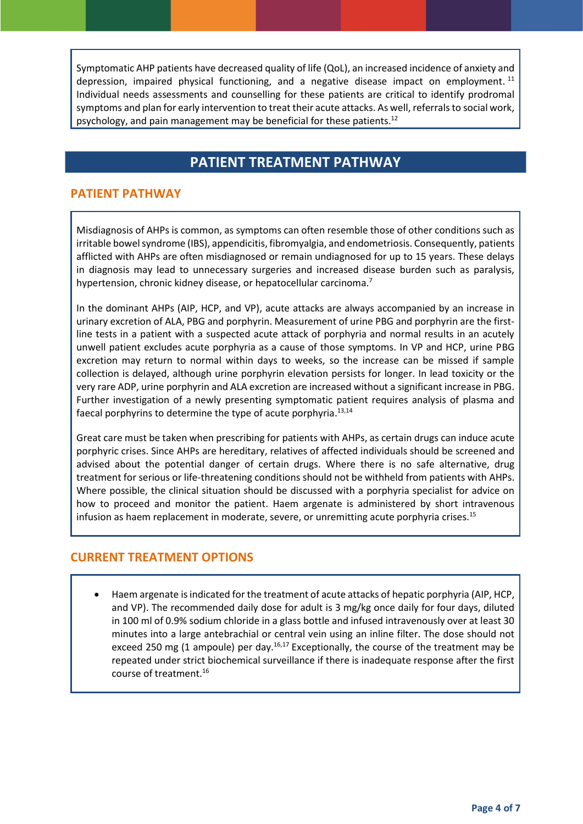Symptomatic AHP patients have decreased quality of life (QoL), an increased incidence of anxiety and depression, impaired physical functioning, and a negative disease impact on employment.<sup>11</sup> Individual needs assessments and counselling for these patients are critical to identify prodromal symptoms and plan for early intervention to treat their acute attacks. As well, referrals to social work, psychology, and pain management may be beneficial for these patients.<sup>12</sup>

## **PATIENT TREATMENT PATHWAY**

#### **PATIENT PATHWAY**

Misdiagnosis of AHPs is common, as symptoms can often resemble those of other conditions such as irritable bowel syndrome (IBS), appendicitis, fibromyalgia, and endometriosis. Consequently, patients afflicted with AHPs are often misdiagnosed or remain undiagnosed for up to 15 years. These delays in diagnosis may lead to unnecessary surgeries and increased disease burden such as paralysis, hypertension, chronic kidney disease, or hepatocellular carcinoma.<sup>[7](#page-2-1)</sup>

In the dominant AHPs (AIP, HCP, and VP), acute attacks are always accompanied by an increase in urinary excretion of ALA, PBG and porphyrin. Measurement of urine PBG and porphyrin are the first‐ line tests in a patient with a suspected acute attack of porphyria and normal results in an acutely unwell patient excludes acute porphyria as a cause of those symptoms. In VP and HCP, urine PBG excretion may return to normal within days to weeks, so the increase can be missed if sample collection is delayed, although urine porphyrin elevation persists for longer. In lead toxicity or the very rare ADP, urine porphyrin and ALA excretion are increased without a significant increase in PBG. Further investigation of a newly presenting symptomatic patient requires analysis of plasma and faecal porphyrins to determine the type of acute porphyria.<sup>13,14</sup>

<span id="page-3-0"></span>Great care must be taken when prescribing for patients with AHPs, as certain drugs can induce acute porphyric crises. Since AHPs are hereditary, relatives of affected individuals should be screened and advised about the potential danger of certain drugs. Where there is no safe alternative, drug treatment for serious or life-threatening conditions should not be withheld from patients with AHPs. Where possible, the clinical situation should be discussed with a porphyria specialist for advice on how to proceed and monitor the patient. Haem argenate is administered by short intravenous infusion as haem replacement in moderate, severe, or unremitting acute porphyria crises.<sup>15</sup>

#### **CURRENT TREATMENT OPTIONS**

<span id="page-3-1"></span> Haem argenate is indicated for the treatment of acute attacks of hepatic porphyria (AIP, HCP, and VP). The recommended daily dose for adult is 3 mg/kg once daily for four days, diluted in 100 ml of 0.9% sodium chloride in a glass bottle and infused intravenously over at least 30 minutes into a large antebrachial or central vein using an inline filter. The dose should not exceed 250 mg (1 ampoule) per day.<sup>16,17</sup> Exceptionally, the course of the treatment may be repeated under strict biochemical surveillance if there is inadequate response after the first course of treatment.[16](#page-3-1)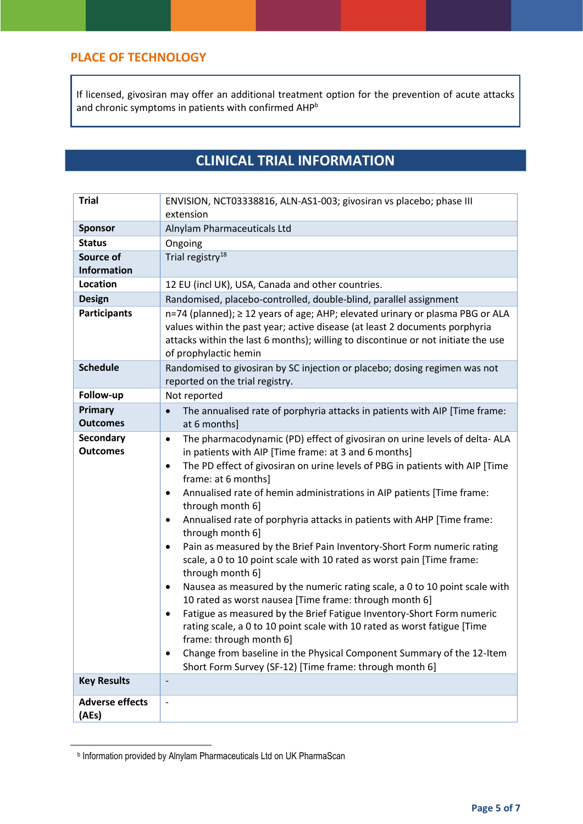#### **PLACE OF TECHNOLOGY**

If licensed, givosiran may offer an additional treatment option for the prevention of acute attacks and chronic symptoms in patients with confirmed AHP<sup>b</sup>

## **CLINICAL TRIAL INFORMATION**

| <b>Trial</b>                        | ENVISION, NCT03338816, ALN-AS1-003; givosiran vs placebo; phase III<br>extension                                                                                                                                                                                                                                                                                                                                                                                                                                                                                                                                                                                                                                                                                                                                                                                                                                                                                                                                                                                                                                                                               |  |  |
|-------------------------------------|----------------------------------------------------------------------------------------------------------------------------------------------------------------------------------------------------------------------------------------------------------------------------------------------------------------------------------------------------------------------------------------------------------------------------------------------------------------------------------------------------------------------------------------------------------------------------------------------------------------------------------------------------------------------------------------------------------------------------------------------------------------------------------------------------------------------------------------------------------------------------------------------------------------------------------------------------------------------------------------------------------------------------------------------------------------------------------------------------------------------------------------------------------------|--|--|
| <b>Sponsor</b>                      | Alnylam Pharmaceuticals Ltd                                                                                                                                                                                                                                                                                                                                                                                                                                                                                                                                                                                                                                                                                                                                                                                                                                                                                                                                                                                                                                                                                                                                    |  |  |
| <b>Status</b>                       | Ongoing                                                                                                                                                                                                                                                                                                                                                                                                                                                                                                                                                                                                                                                                                                                                                                                                                                                                                                                                                                                                                                                                                                                                                        |  |  |
| Source of<br><b>Information</b>     | Trial registry <sup>18</sup>                                                                                                                                                                                                                                                                                                                                                                                                                                                                                                                                                                                                                                                                                                                                                                                                                                                                                                                                                                                                                                                                                                                                   |  |  |
| <b>Location</b>                     | 12 EU (incl UK), USA, Canada and other countries.                                                                                                                                                                                                                                                                                                                                                                                                                                                                                                                                                                                                                                                                                                                                                                                                                                                                                                                                                                                                                                                                                                              |  |  |
| <b>Design</b>                       | Randomised, placebo-controlled, double-blind, parallel assignment                                                                                                                                                                                                                                                                                                                                                                                                                                                                                                                                                                                                                                                                                                                                                                                                                                                                                                                                                                                                                                                                                              |  |  |
| <b>Participants</b>                 | n=74 (planned); ≥ 12 years of age; AHP; elevated urinary or plasma PBG or ALA<br>values within the past year; active disease (at least 2 documents porphyria<br>attacks within the last 6 months); willing to discontinue or not initiate the use<br>of prophylactic hemin                                                                                                                                                                                                                                                                                                                                                                                                                                                                                                                                                                                                                                                                                                                                                                                                                                                                                     |  |  |
| <b>Schedule</b>                     | Randomised to givosiran by SC injection or placebo; dosing regimen was not<br>reported on the trial registry.                                                                                                                                                                                                                                                                                                                                                                                                                                                                                                                                                                                                                                                                                                                                                                                                                                                                                                                                                                                                                                                  |  |  |
| Follow-up                           | Not reported                                                                                                                                                                                                                                                                                                                                                                                                                                                                                                                                                                                                                                                                                                                                                                                                                                                                                                                                                                                                                                                                                                                                                   |  |  |
| Primary<br><b>Outcomes</b>          | The annualised rate of porphyria attacks in patients with AIP [Time frame:<br>at 6 months]                                                                                                                                                                                                                                                                                                                                                                                                                                                                                                                                                                                                                                                                                                                                                                                                                                                                                                                                                                                                                                                                     |  |  |
| <b>Secondary</b><br><b>Outcomes</b> | The pharmacodynamic (PD) effect of givosiran on urine levels of delta-ALA<br>$\bullet$<br>in patients with AIP [Time frame: at 3 and 6 months]<br>The PD effect of givosiran on urine levels of PBG in patients with AIP [Time<br>$\bullet$<br>frame: at 6 months]<br>Annualised rate of hemin administrations in AIP patients [Time frame:<br>$\bullet$<br>through month 6]<br>Annualised rate of porphyria attacks in patients with AHP [Time frame:<br>$\bullet$<br>through month 6]<br>Pain as measured by the Brief Pain Inventory-Short Form numeric rating<br>٠<br>scale, a 0 to 10 point scale with 10 rated as worst pain [Time frame:<br>through month 6]<br>Nausea as measured by the numeric rating scale, a 0 to 10 point scale with<br>٠<br>10 rated as worst nausea [Time frame: through month 6]<br>Fatigue as measured by the Brief Fatigue Inventory-Short Form numeric<br>$\bullet$<br>rating scale, a 0 to 10 point scale with 10 rated as worst fatigue [Time<br>frame: through month 6]<br>Change from baseline in the Physical Component Summary of the 12-Item<br>$\bullet$<br>Short Form Survey (SF-12) [Time frame: through month 6] |  |  |
| <b>Key Results</b>                  |                                                                                                                                                                                                                                                                                                                                                                                                                                                                                                                                                                                                                                                                                                                                                                                                                                                                                                                                                                                                                                                                                                                                                                |  |  |
| <b>Adverse effects</b><br>(AEs)     |                                                                                                                                                                                                                                                                                                                                                                                                                                                                                                                                                                                                                                                                                                                                                                                                                                                                                                                                                                                                                                                                                                                                                                |  |  |

b Information provided by Alnylam Pharmaceuticals Ltd on UK PharmaScan

**.**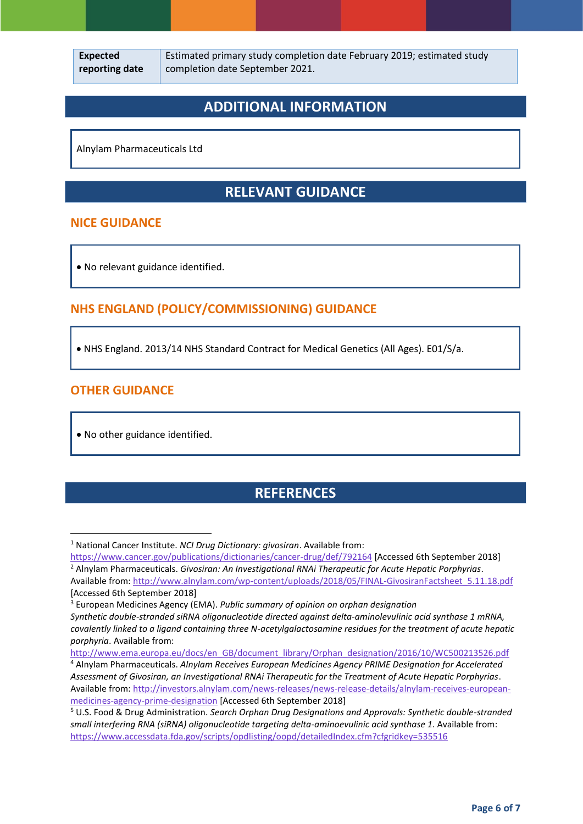Estimated primary study completion date February 2019; estimated study completion date September 2021.

## **ADDITIONAL INFORMATION**

Alnylam Pharmaceuticals Ltd

## **RELEVANT GUIDANCE**

#### **NICE GUIDANCE**

No relevant guidance identified.

#### **NHS ENGLAND (POLICY/COMMISSIONING) GUIDANCE**

NHS England. 2013/14 NHS Standard Contract for Medical Genetics (All Ages). E01/S/a.

#### **OTHER GUIDANCE**

 $\overline{a}$ 

No other guidance identified.

## **REFERENCES**

<sup>4</sup> Alnylam Pharmaceuticals. *Alnylam Receives European Medicines Agency PRIME Designation for Accelerated Assessment of Givosiran, an Investigational RNAi Therapeutic for the Treatment of Acute Hepatic Porphyrias*. Available from: [http://investors.alnylam.com/news-releases/news-release-details/alnylam-receives-european](http://investors.alnylam.com/news-releases/news-release-details/alnylam-receives-european-medicines-agency-prime-designation)[medicines-agency-prime-designation](http://investors.alnylam.com/news-releases/news-release-details/alnylam-receives-european-medicines-agency-prime-designation) [Accessed 6th September 2018]

<sup>5</sup> U.S. Food & Drug Administration. *Search Orphan Drug Designations and Approvals: Synthetic double-stranded small interfering RNA (siRNA) oligonucleotide targeting delta-aminoevulinic acid synthase 1*. Available from: <https://www.accessdata.fda.gov/scripts/opdlisting/oopd/detailedIndex.cfm?cfgridkey=535516>

<sup>1</sup> National Cancer Institute. *NCI Drug Dictionary: givosiran*. Available from:

<https://www.cancer.gov/publications/dictionaries/cancer-drug/def/792164> [Accessed 6th September 2018] <sup>2</sup> Alnylam Pharmaceuticals. *Givosiran: An Investigational RNAi Therapeutic for Acute Hepatic Porphyrias*.

Available from: [http://www.alnylam.com/wp-content/uploads/2018/05/FINAL-GivosiranFactsheet\\_5.11.18.pdf](http://www.alnylam.com/wp-content/uploads/2018/05/FINAL-GivosiranFactsheet_5.11.18.pdf) [Accessed 6th September 2018]

<sup>3</sup> European Medicines Agency (EMA). *Public summary of opinion on orphan designation*

*Synthetic double-stranded siRNA oligonucleotide directed against delta-aminolevulinic acid synthase 1 mRNA, covalently linked to a ligand containing three N-acetylgalactosamine residues for the treatment of acute hepatic porphyria*. Available from:

[http://www.ema.europa.eu/docs/en\\_GB/document\\_library/Orphan\\_designation/2016/10/WC500213526.pdf](http://www.ema.europa.eu/docs/en_GB/document_library/Orphan_designation/2016/10/WC500213526.pdf)